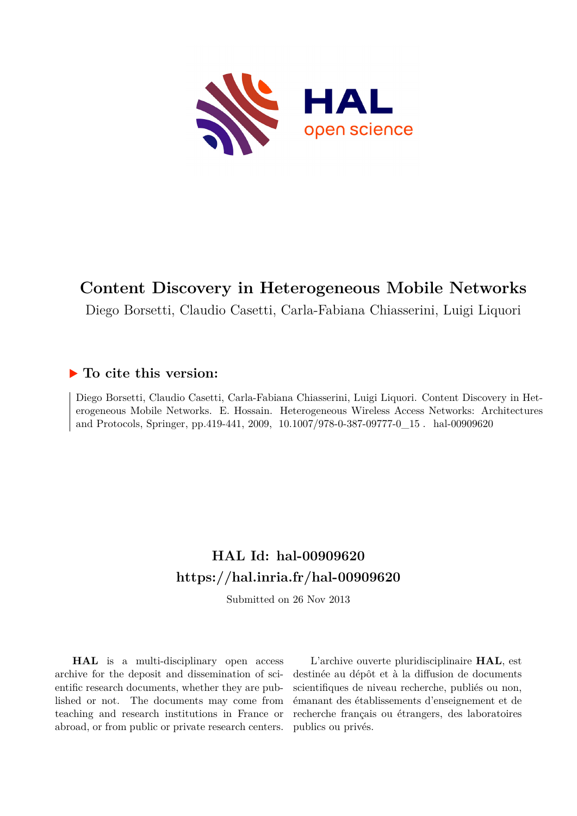

# **Content Discovery in Heterogeneous Mobile Networks**

Diego Borsetti, Claudio Casetti, Carla-Fabiana Chiasserini, Luigi Liquori

# **To cite this version:**

Diego Borsetti, Claudio Casetti, Carla-Fabiana Chiasserini, Luigi Liquori. Content Discovery in Heterogeneous Mobile Networks. E. Hossain. Heterogeneous Wireless Access Networks: Architectures and Protocols, Springer, pp.419-441, 2009, 10.1007/978-0-387-09777-0\_15 . hal-00909620

# **HAL Id: hal-00909620 <https://hal.inria.fr/hal-00909620>**

Submitted on 26 Nov 2013

**HAL** is a multi-disciplinary open access archive for the deposit and dissemination of scientific research documents, whether they are published or not. The documents may come from teaching and research institutions in France or abroad, or from public or private research centers.

L'archive ouverte pluridisciplinaire **HAL**, est destinée au dépôt et à la diffusion de documents scientifiques de niveau recherche, publiés ou non, émanant des établissements d'enseignement et de recherche français ou étrangers, des laboratoires publics ou privés.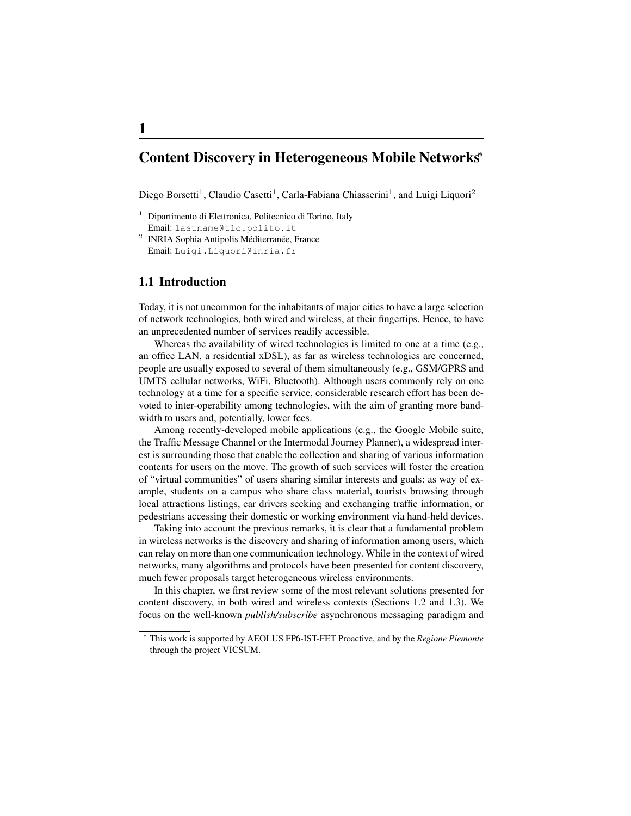# Content Discovery in Heterogeneous Mobile Networks<sup>∗</sup>

Diego Borsetti<sup>1</sup>, Claudio Casetti<sup>1</sup>, Carla-Fabiana Chiasserini<sup>1</sup>, and Luigi Liquori<sup>2</sup>

- <sup>1</sup> Dipartimento di Elettronica, Politecnico di Torino, Italy Email: lastname@tlc.polito.it
- $2$  INRIA Sophia Antipolis Méditerranée, France Email: Luigi.Liquori@inria.fr

# 1.1 Introduction

Today, it is not uncommon for the inhabitants of major cities to have a large selection of network technologies, both wired and wireless, at their fingertips. Hence, to have an unprecedented number of services readily accessible.

Whereas the availability of wired technologies is limited to one at a time (e.g., an office LAN, a residential xDSL), as far as wireless technologies are concerned, people are usually exposed to several of them simultaneously (e.g., GSM/GPRS and UMTS cellular networks, WiFi, Bluetooth). Although users commonly rely on one technology at a time for a specific service, considerable research effort has been devoted to inter-operability among technologies, with the aim of granting more bandwidth to users and, potentially, lower fees.

Among recently-developed mobile applications (e.g., the Google Mobile suite, the Traffic Message Channel or the Intermodal Journey Planner), a widespread interest is surrounding those that enable the collection and sharing of various information contents for users on the move. The growth of such services will foster the creation of "virtual communities" of users sharing similar interests and goals: as way of example, students on a campus who share class material, tourists browsing through local attractions listings, car drivers seeking and exchanging traffic information, or pedestrians accessing their domestic or working environment via hand-held devices.

Taking into account the previous remarks, it is clear that a fundamental problem in wireless networks is the discovery and sharing of information among users, which can relay on more than one communication technology. While in the context of wired networks, many algorithms and protocols have been presented for content discovery, much fewer proposals target heterogeneous wireless environments.

In this chapter, we first review some of the most relevant solutions presented for content discovery, in both wired and wireless contexts (Sections 1.2 and 1.3). We focus on the well-known *publish/subscribe* asynchronous messaging paradigm and

This work is supported by AEOLUS FP6-IST-FET Proactive, and by the *Regione Piemonte* through the project VICSUM.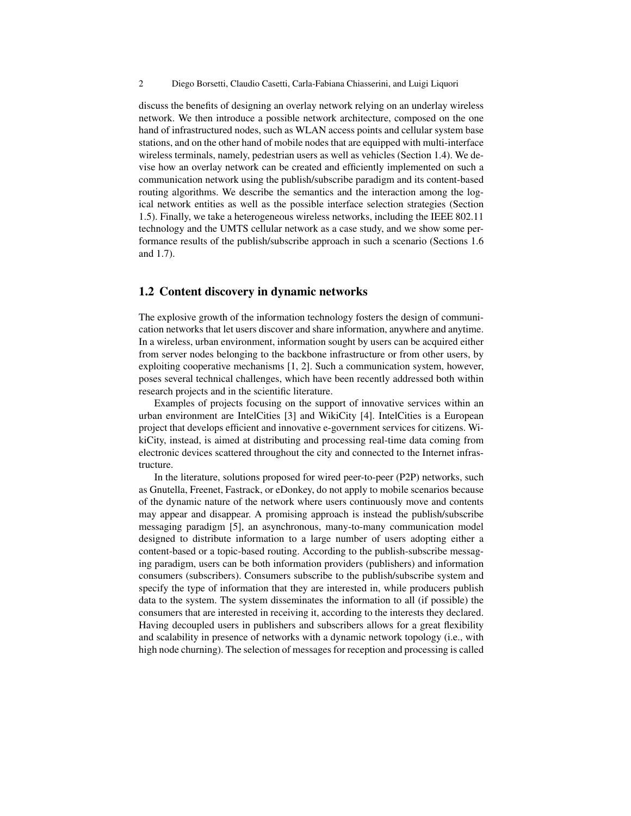discuss the benefits of designing an overlay network relying on an underlay wireless network. We then introduce a possible network architecture, composed on the one hand of infrastructured nodes, such as WLAN access points and cellular system base stations, and on the other hand of mobile nodes that are equipped with multi-interface wireless terminals, namely, pedestrian users as well as vehicles (Section 1.4). We devise how an overlay network can be created and efficiently implemented on such a communication network using the publish/subscribe paradigm and its content-based routing algorithms. We describe the semantics and the interaction among the logical network entities as well as the possible interface selection strategies (Section 1.5). Finally, we take a heterogeneous wireless networks, including the IEEE 802.11 technology and the UMTS cellular network as a case study, and we show some performance results of the publish/subscribe approach in such a scenario (Sections 1.6 and 1.7).

# 1.2 Content discovery in dynamic networks

The explosive growth of the information technology fosters the design of communication networks that let users discover and share information, anywhere and anytime. In a wireless, urban environment, information sought by users can be acquired either from server nodes belonging to the backbone infrastructure or from other users, by exploiting cooperative mechanisms [1, 2]. Such a communication system, however, poses several technical challenges, which have been recently addressed both within research projects and in the scientific literature.

Examples of projects focusing on the support of innovative services within an urban environment are IntelCities [3] and WikiCity [4]. IntelCities is a European project that develops efficient and innovative e-government services for citizens. WikiCity, instead, is aimed at distributing and processing real-time data coming from electronic devices scattered throughout the city and connected to the Internet infrastructure.

In the literature, solutions proposed for wired peer-to-peer (P2P) networks, such as Gnutella, Freenet, Fastrack, or eDonkey, do not apply to mobile scenarios because of the dynamic nature of the network where users continuously move and contents may appear and disappear. A promising approach is instead the publish/subscribe messaging paradigm [5], an asynchronous, many-to-many communication model designed to distribute information to a large number of users adopting either a content-based or a topic-based routing. According to the publish-subscribe messaging paradigm, users can be both information providers (publishers) and information consumers (subscribers). Consumers subscribe to the publish/subscribe system and specify the type of information that they are interested in, while producers publish data to the system. The system disseminates the information to all (if possible) the consumers that are interested in receiving it, according to the interests they declared. Having decoupled users in publishers and subscribers allows for a great flexibility and scalability in presence of networks with a dynamic network topology (i.e., with high node churning). The selection of messages for reception and processing is called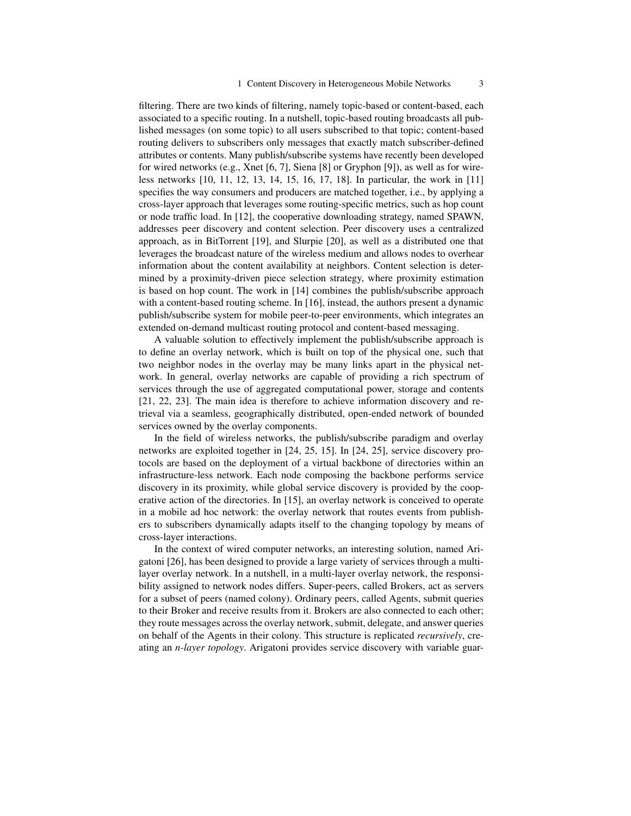filtering. There are two kinds of filtering, namely topic-based or content-based, each associated to a specific routing. In a nutshell, topic-based routing broadcasts all published messages (on some topic) to all users subscribed to that topic; content-based routing delivers to subscribers only messages that exactly match subscriber-defined attributes or contents. Many publish/subscribe systems have recently been developed for wired networks (e.g., Xnet [6, 7], Siena [8] or Gryphon [9]), as well as for wireless networks [10, 11, 12, 13, 14, 15, 16, 17, 18]. In particular, the work in [11] specifies the way consumers and producers are matched together, i.e., by applying a cross-layer approach that leverages some routing-specific metrics, such as hop count or node traffic load. In [12], the cooperative downloading strategy, named SPAWN, addresses peer discovery and content selection. Peer discovery uses a centralized approach, as in BitTorrent [19], and Slurpie [20], as well as a distributed one that leverages the broadcast nature of the wireless medium and allows nodes to overhear information about the content availability at neighbors. Content selection is determined by a proximity-driven piece selection strategy, where proximity estimation is based on hop count. The work in [14] combines the publish/subscribe approach with a content-based routing scheme. In [16], instead, the authors present a dynamic publish/subscribe system for mobile peer-to-peer environments, which integrates an extended on-demand multicast routing protocol and content-based messaging.

A valuable solution to effectively implement the publish/subscribe approach is to define an overlay network, which is built on top of the physical one, such that two neighbor nodes in the overlay may be many links apart in the physical network. In general, overlay networks are capable of providing a rich spectrum of services through the use of aggregated computational power, storage and contents [21, 22, 23]. The main idea is therefore to achieve information discovery and retrieval via a seamless, geographically distributed, open-ended network of bounded services owned by the overlay components.

In the field of wireless networks, the publish/subscribe paradigm and overlay networks are exploited together in [24, 25, 15]. In [24, 25], service discovery protocols are based on the deployment of a virtual backbone of directories within an infrastructure-less network. Each node composing the backbone performs service discovery in its proximity, while global service discovery is provided by the cooperative action of the directories. In [15], an overlay network is conceived to operate in a mobile ad hoc network: the overlay network that routes events from publishers to subscribers dynamically adapts itself to the changing topology by means of cross-layer interactions.

In the context of wired computer networks, an interesting solution, named Arigatoni [26], has been designed to provide a large variety of services through a multilayer overlay network. In a nutshell, in a multi-layer overlay network, the responsibility assigned to network nodes differs. Super-peers, called Brokers, act as servers for a subset of peers (named colony). Ordinary peers, called Agents, submit queries to their Broker and receive results from it. Brokers are also connected to each other; they route messages across the overlay network, submit, delegate, and answer queries on behalf of the Agents in their colony. This structure is replicated *recursively*, creating an *n-layer topology*. Arigatoni provides service discovery with variable guar-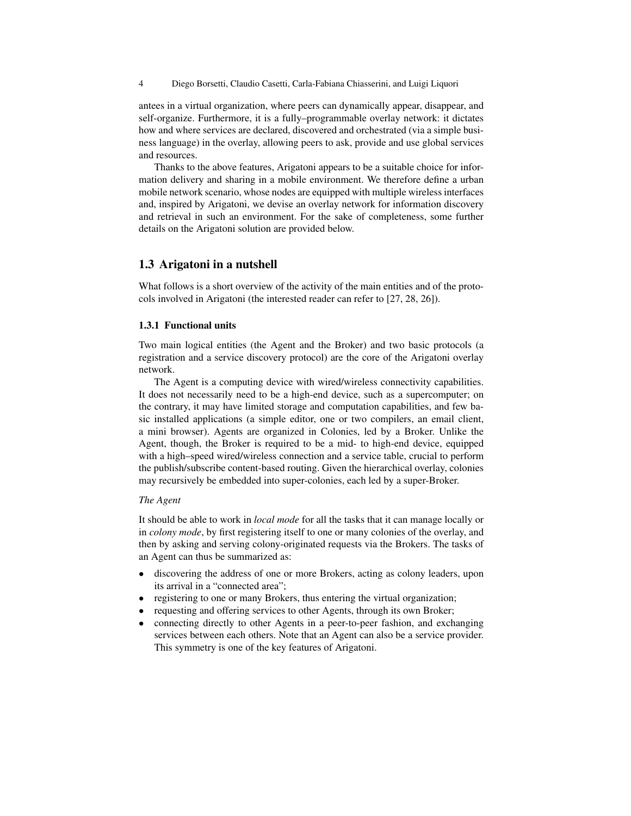antees in a virtual organization, where peers can dynamically appear, disappear, and self-organize. Furthermore, it is a fully–programmable overlay network: it dictates how and where services are declared, discovered and orchestrated (via a simple business language) in the overlay, allowing peers to ask, provide and use global services and resources.

Thanks to the above features, Arigatoni appears to be a suitable choice for information delivery and sharing in a mobile environment. We therefore define a urban mobile network scenario, whose nodes are equipped with multiple wireless interfaces and, inspired by Arigatoni, we devise an overlay network for information discovery and retrieval in such an environment. For the sake of completeness, some further details on the Arigatoni solution are provided below.

# 1.3 Arigatoni in a nutshell

What follows is a short overview of the activity of the main entities and of the protocols involved in Arigatoni (the interested reader can refer to [27, 28, 26]).

#### 1.3.1 Functional units

Two main logical entities (the Agent and the Broker) and two basic protocols (a registration and a service discovery protocol) are the core of the Arigatoni overlay network.

The Agent is a computing device with wired/wireless connectivity capabilities. It does not necessarily need to be a high-end device, such as a supercomputer; on the contrary, it may have limited storage and computation capabilities, and few basic installed applications (a simple editor, one or two compilers, an email client, a mini browser). Agents are organized in Colonies, led by a Broker. Unlike the Agent, though, the Broker is required to be a mid- to high-end device, equipped with a high–speed wired/wireless connection and a service table, crucial to perform the publish/subscribe content-based routing. Given the hierarchical overlay, colonies may recursively be embedded into super-colonies, each led by a super-Broker.

#### *The Agent*

It should be able to work in *local mode* for all the tasks that it can manage locally or in *colony mode*, by first registering itself to one or many colonies of the overlay, and then by asking and serving colony-originated requests via the Brokers. The tasks of an Agent can thus be summarized as:

- discovering the address of one or more Brokers, acting as colony leaders, upon its arrival in a "connected area";
- registering to one or many Brokers, thus entering the virtual organization;
- requesting and offering services to other Agents, through its own Broker;
- connecting directly to other Agents in a peer-to-peer fashion, and exchanging services between each others. Note that an Agent can also be a service provider. This symmetry is one of the key features of Arigatoni.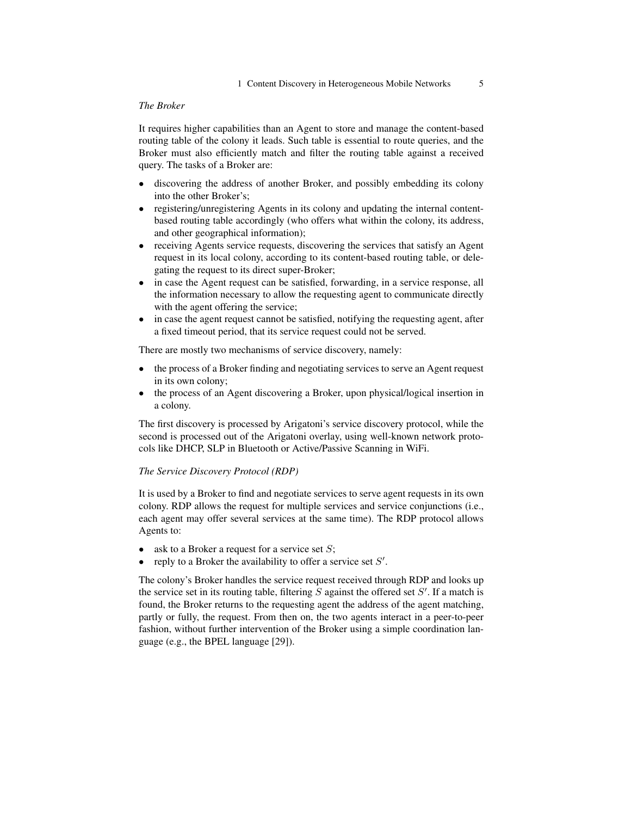#### *The Broker*

It requires higher capabilities than an Agent to store and manage the content-based routing table of the colony it leads. Such table is essential to route queries, and the Broker must also efficiently match and filter the routing table against a received query. The tasks of a Broker are:

- discovering the address of another Broker, and possibly embedding its colony into the other Broker's;
- registering/unregistering Agents in its colony and updating the internal contentbased routing table accordingly (who offers what within the colony, its address, and other geographical information);
- receiving Agents service requests, discovering the services that satisfy an Agent request in its local colony, according to its content-based routing table, or delegating the request to its direct super-Broker;
- in case the Agent request can be satisfied, forwarding, in a service response, all the information necessary to allow the requesting agent to communicate directly with the agent offering the service;
- in case the agent request cannot be satisfied, notifying the requesting agent, after a fixed timeout period, that its service request could not be served.

There are mostly two mechanisms of service discovery, namely:

- the process of a Broker finding and negotiating services to serve an Agent request in its own colony;
- the process of an Agent discovering a Broker, upon physical/logical insertion in a colony.

The first discovery is processed by Arigatoni's service discovery protocol, while the second is processed out of the Arigatoni overlay, using well-known network protocols like DHCP, SLP in Bluetooth or Active/Passive Scanning in WiFi.

#### *The Service Discovery Protocol (RDP)*

It is used by a Broker to find and negotiate services to serve agent requests in its own colony. RDP allows the request for multiple services and service conjunctions (i.e., each agent may offer several services at the same time). The RDP protocol allows Agents to:

- ask to a Broker a request for a service set  $S$ ;
- reply to a Broker the availability to offer a service set  $S'$ .

The colony's Broker handles the service request received through RDP and looks up the service set in its routing table, filtering  $S$  against the offered set  $S'$ . If a match is found, the Broker returns to the requesting agent the address of the agent matching, partly or fully, the request. From then on, the two agents interact in a peer-to-peer fashion, without further intervention of the Broker using a simple coordination language (e.g., the BPEL language [29]).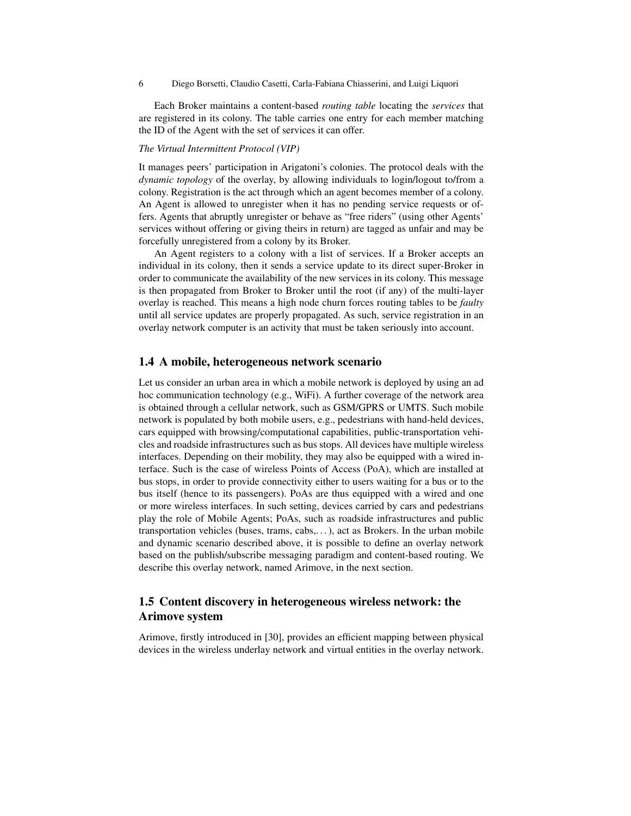Each Broker maintains a content-based *routing table* locating the *services* that are registered in its colony. The table carries one entry for each member matching the ID of the Agent with the set of services it can offer.

#### *The Virtual Intermittent Protocol (VIP)*

It manages peers' participation in Arigatoni's colonies. The protocol deals with the *dynamic topology* of the overlay, by allowing individuals to login/logout to/from a colony. Registration is the act through which an agent becomes member of a colony. An Agent is allowed to unregister when it has no pending service requests or offers. Agents that abruptly unregister or behave as "free riders" (using other Agents' services without offering or giving theirs in return) are tagged as unfair and may be forcefully unregistered from a colony by its Broker.

An Agent registers to a colony with a list of services. If a Broker accepts an individual in its colony, then it sends a service update to its direct super-Broker in order to communicate the availability of the new services in its colony. This message is then propagated from Broker to Broker until the root (if any) of the multi-layer overlay is reached. This means a high node churn forces routing tables to be *faulty* until all service updates are properly propagated. As such, service registration in an overlay network computer is an activity that must be taken seriously into account.

### 1.4 A mobile, heterogeneous network scenario

Let us consider an urban area in which a mobile network is deployed by using an ad hoc communication technology (e.g., WiFi). A further coverage of the network area is obtained through a cellular network, such as GSM/GPRS or UMTS. Such mobile network is populated by both mobile users, e.g., pedestrians with hand-held devices, cars equipped with browsing/computational capabilities, public-transportation vehicles and roadside infrastructures such as bus stops. All devices have multiple wireless interfaces. Depending on their mobility, they may also be equipped with a wired interface. Such is the case of wireless Points of Access (PoA), which are installed at bus stops, in order to provide connectivity either to users waiting for a bus or to the bus itself (hence to its passengers). PoAs are thus equipped with a wired and one or more wireless interfaces. In such setting, devices carried by cars and pedestrians play the role of Mobile Agents; PoAs, such as roadside infrastructures and public transportation vehicles (buses, trams, cabs,. . . ), act as Brokers. In the urban mobile and dynamic scenario described above, it is possible to define an overlay network based on the publish/subscribe messaging paradigm and content-based routing. We describe this overlay network, named Arimove, in the next section.

# 1.5 Content discovery in heterogeneous wireless network: the Arimove system

Arimove, firstly introduced in [30], provides an efficient mapping between physical devices in the wireless underlay network and virtual entities in the overlay network.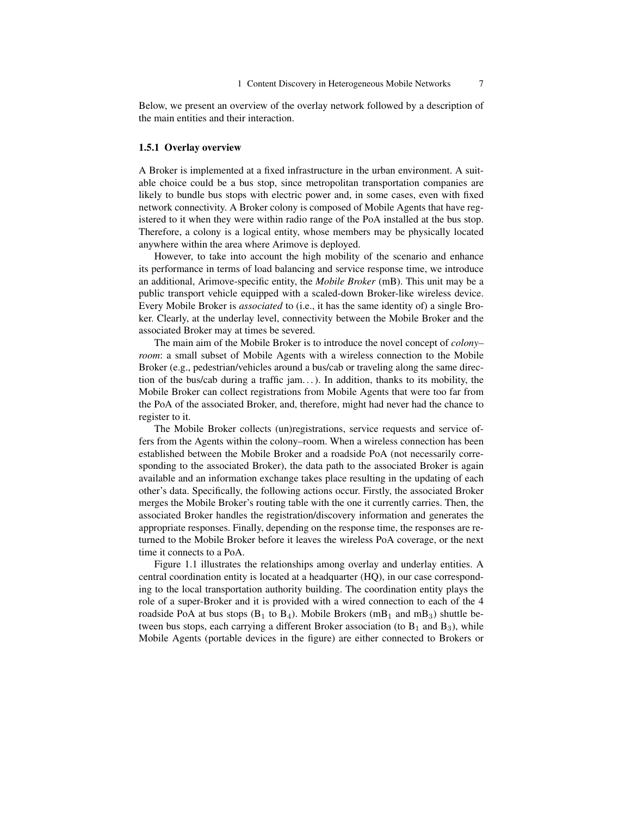Below, we present an overview of the overlay network followed by a description of the main entities and their interaction.

#### 1.5.1 Overlay overview

A Broker is implemented at a fixed infrastructure in the urban environment. A suitable choice could be a bus stop, since metropolitan transportation companies are likely to bundle bus stops with electric power and, in some cases, even with fixed network connectivity. A Broker colony is composed of Mobile Agents that have registered to it when they were within radio range of the PoA installed at the bus stop. Therefore, a colony is a logical entity, whose members may be physically located anywhere within the area where Arimove is deployed.

However, to take into account the high mobility of the scenario and enhance its performance in terms of load balancing and service response time, we introduce an additional, Arimove-specific entity, the *Mobile Broker* (mB). This unit may be a public transport vehicle equipped with a scaled-down Broker-like wireless device. Every Mobile Broker is *associated* to (i.e., it has the same identity of) a single Broker. Clearly, at the underlay level, connectivity between the Mobile Broker and the associated Broker may at times be severed.

The main aim of the Mobile Broker is to introduce the novel concept of *colony– room*: a small subset of Mobile Agents with a wireless connection to the Mobile Broker (e.g., pedestrian/vehicles around a bus/cab or traveling along the same direction of the bus/cab during a traffic jam. . . ). In addition, thanks to its mobility, the Mobile Broker can collect registrations from Mobile Agents that were too far from the PoA of the associated Broker, and, therefore, might had never had the chance to register to it.

The Mobile Broker collects (un)registrations, service requests and service offers from the Agents within the colony–room. When a wireless connection has been established between the Mobile Broker and a roadside PoA (not necessarily corresponding to the associated Broker), the data path to the associated Broker is again available and an information exchange takes place resulting in the updating of each other's data. Specifically, the following actions occur. Firstly, the associated Broker merges the Mobile Broker's routing table with the one it currently carries. Then, the associated Broker handles the registration/discovery information and generates the appropriate responses. Finally, depending on the response time, the responses are returned to the Mobile Broker before it leaves the wireless PoA coverage, or the next time it connects to a PoA.

Figure 1.1 illustrates the relationships among overlay and underlay entities. A central coordination entity is located at a headquarter (HQ), in our case corresponding to the local transportation authority building. The coordination entity plays the role of a super-Broker and it is provided with a wired connection to each of the 4 roadside PoA at bus stops  $(B_1 \text{ to } B_4)$ . Mobile Brokers (mB<sub>1</sub> and mB<sub>3</sub>) shuttle between bus stops, each carrying a different Broker association (to  $B_1$  and  $B_3$ ), while Mobile Agents (portable devices in the figure) are either connected to Brokers or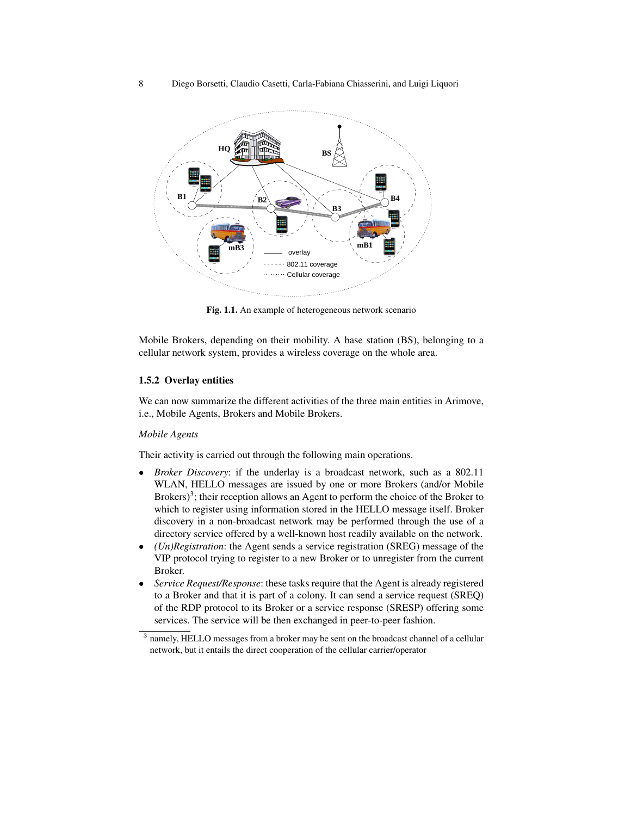

Fig. 1.1. An example of heterogeneous network scenario

Mobile Brokers, depending on their mobility. A base station (BS), belonging to a cellular network system, provides a wireless coverage on the whole area.

#### 1.5.2 Overlay entities

We can now summarize the different activities of the three main entities in Arimove, i.e., Mobile Agents, Brokers and Mobile Brokers.

#### *Mobile Agents*

Their activity is carried out through the following main operations.

- *Broker Discovery*: if the underlay is a broadcast network, such as a 802.11 WLAN, HELLO messages are issued by one or more Brokers (and/or Mobile Brokers)<sup>3</sup>; their reception allows an Agent to perform the choice of the Broker to which to register using information stored in the HELLO message itself. Broker discovery in a non-broadcast network may be performed through the use of a directory service offered by a well-known host readily available on the network.
- *(Un)Registration*: the Agent sends a service registration (SREG) message of the VIP protocol trying to register to a new Broker or to unregister from the current Broker.
- *Service Request/Response*: these tasks require that the Agent is already registered to a Broker and that it is part of a colony. It can send a service request (SREQ) of the RDP protocol to its Broker or a service response (SRESP) offering some services. The service will be then exchanged in peer-to-peer fashion.

<sup>3</sup> namely, HELLO messages from a broker may be sent on the broadcast channel of a cellular network, but it entails the direct cooperation of the cellular carrier/operator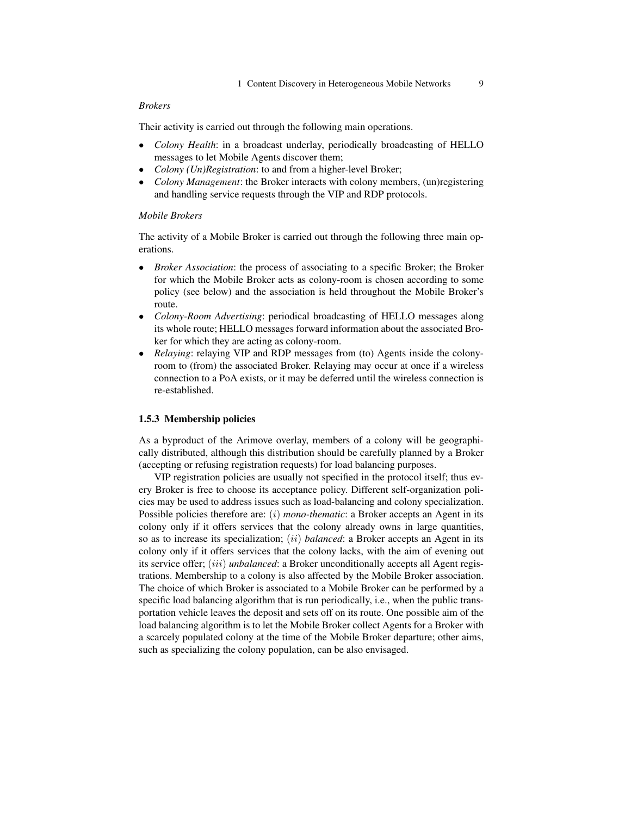#### *Brokers*

Their activity is carried out through the following main operations.

- *Colony Health*: in a broadcast underlay, periodically broadcasting of HELLO messages to let Mobile Agents discover them;
- *Colony (Un)Registration*: to and from a higher-level Broker;
- *Colony Management*: the Broker interacts with colony members, (un)registering and handling service requests through the VIP and RDP protocols.

#### *Mobile Brokers*

The activity of a Mobile Broker is carried out through the following three main operations.

- *Broker Association*: the process of associating to a specific Broker; the Broker for which the Mobile Broker acts as colony-room is chosen according to some policy (see below) and the association is held throughout the Mobile Broker's route.
- *Colony-Room Advertising*: periodical broadcasting of HELLO messages along its whole route; HELLO messages forward information about the associated Broker for which they are acting as colony-room.
- *Relaying*: relaying VIP and RDP messages from (to) Agents inside the colonyroom to (from) the associated Broker. Relaying may occur at once if a wireless connection to a PoA exists, or it may be deferred until the wireless connection is re-established.

#### 1.5.3 Membership policies

As a byproduct of the Arimove overlay, members of a colony will be geographically distributed, although this distribution should be carefully planned by a Broker (accepting or refusing registration requests) for load balancing purposes.

VIP registration policies are usually not specified in the protocol itself; thus every Broker is free to choose its acceptance policy. Different self-organization policies may be used to address issues such as load-balancing and colony specialization. Possible policies therefore are: (i) *mono-thematic*: a Broker accepts an Agent in its colony only if it offers services that the colony already owns in large quantities, so as to increase its specialization; (ii) *balanced*: a Broker accepts an Agent in its colony only if it offers services that the colony lacks, with the aim of evening out its service offer; *(iii) unbalanced*: a Broker unconditionally accepts all Agent registrations. Membership to a colony is also affected by the Mobile Broker association. The choice of which Broker is associated to a Mobile Broker can be performed by a specific load balancing algorithm that is run periodically, i.e., when the public transportation vehicle leaves the deposit and sets off on its route. One possible aim of the load balancing algorithm is to let the Mobile Broker collect Agents for a Broker with a scarcely populated colony at the time of the Mobile Broker departure; other aims, such as specializing the colony population, can be also envisaged.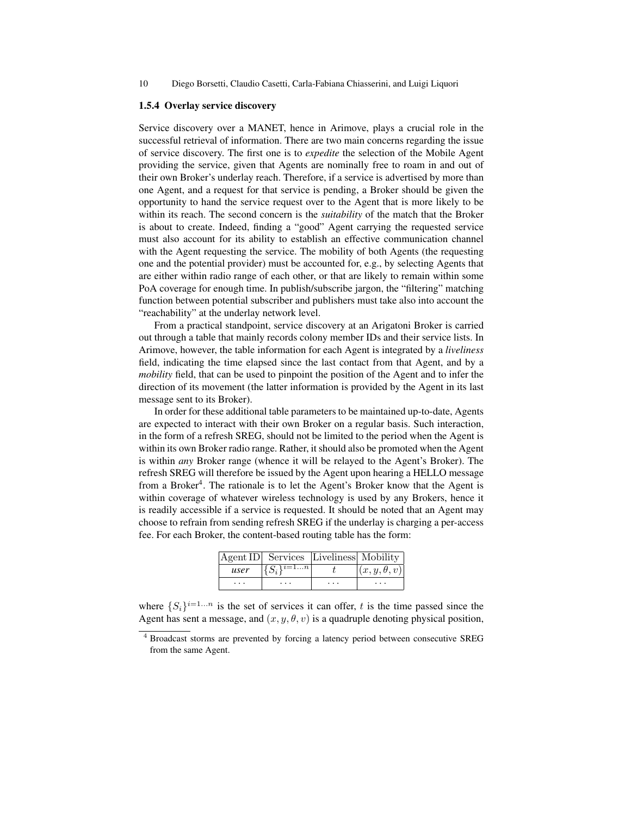10 Diego Borsetti, Claudio Casetti, Carla-Fabiana Chiasserini, and Luigi Liquori

#### 1.5.4 Overlay service discovery

Service discovery over a MANET, hence in Arimove, plays a crucial role in the successful retrieval of information. There are two main concerns regarding the issue of service discovery. The first one is to *expedite* the selection of the Mobile Agent providing the service, given that Agents are nominally free to roam in and out of their own Broker's underlay reach. Therefore, if a service is advertised by more than one Agent, and a request for that service is pending, a Broker should be given the opportunity to hand the service request over to the Agent that is more likely to be within its reach. The second concern is the *suitability* of the match that the Broker is about to create. Indeed, finding a "good" Agent carrying the requested service must also account for its ability to establish an effective communication channel with the Agent requesting the service. The mobility of both Agents (the requesting one and the potential provider) must be accounted for, e.g., by selecting Agents that are either within radio range of each other, or that are likely to remain within some PoA coverage for enough time. In publish/subscribe jargon, the "filtering" matching function between potential subscriber and publishers must take also into account the "reachability" at the underlay network level.

From a practical standpoint, service discovery at an Arigatoni Broker is carried out through a table that mainly records colony member IDs and their service lists. In Arimove, however, the table information for each Agent is integrated by a *liveliness* field, indicating the time elapsed since the last contact from that Agent, and by a *mobility* field, that can be used to pinpoint the position of the Agent and to infer the direction of its movement (the latter information is provided by the Agent in its last message sent to its Broker).

In order for these additional table parameters to be maintained up-to-date, Agents are expected to interact with their own Broker on a regular basis. Such interaction, in the form of a refresh SREG, should not be limited to the period when the Agent is within its own Broker radio range. Rather, it should also be promoted when the Agent is within *any* Broker range (whence it will be relayed to the Agent's Broker). The refresh SREG will therefore be issued by the Agent upon hearing a HELLO message from a Broker<sup>4</sup>. The rationale is to let the Agent's Broker know that the Agent is within coverage of whatever wireless technology is used by any Brokers, hence it is readily accessible if a service is requested. It should be noted that an Agent may choose to refrain from sending refresh SREG if the underlay is charging a per-access fee. For each Broker, the content-based routing table has the form:

|          | Agent ID Services Liveliness Mobility |          |                       |
|----------|---------------------------------------|----------|-----------------------|
| user     | $\overline{\{S_i\}^{i=1n}}$           |          | $ (x, y, \theta, v) $ |
| $\cdots$ | $\cdots$                              | $\cdots$ | $\cdots$              |

where  $\{S_i\}^{i=1...n}$  is the set of services it can offer, t is the time passed since the Agent has sent a message, and  $(x, y, \theta, v)$  is a quadruple denoting physical position,

<sup>4</sup> Broadcast storms are prevented by forcing a latency period between consecutive SREG from the same Agent.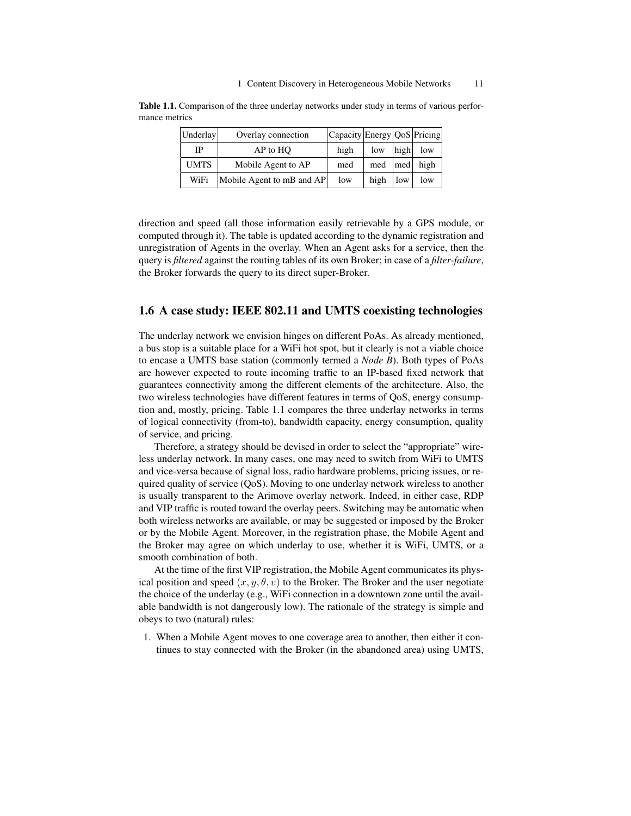| Underlay    | Overlay connection        | Capacity Energy QoS Pricing |                  |        |     |
|-------------|---------------------------|-----------------------------|------------------|--------|-----|
|             |                           |                             |                  |        |     |
| ΙP          | AP to HO                  | high                        | low              | high   | low |
| <b>UMTS</b> | Mobile Agent to AP        | med                         | med   med   high |        |     |
| WiFi        | Mobile Agent to mB and AP | low                         | high             | $\log$ | low |

Table 1.1. Comparison of the three underlay networks under study in terms of various performance metrics

direction and speed (all those information easily retrievable by a GPS module, or computed through it). The table is updated according to the dynamic registration and unregistration of Agents in the overlay. When an Agent asks for a service, then the query is *filtered* against the routing tables of its own Broker; in case of a *filter-failure*, the Broker forwards the query to its direct super-Broker.

# 1.6 A case study: IEEE 802.11 and UMTS coexisting technologies

The underlay network we envision hinges on different PoAs. As already mentioned, a bus stop is a suitable place for a WiFi hot spot, but it clearly is not a viable choice to encase a UMTS base station (commonly termed a *Node B*). Both types of PoAs are however expected to route incoming traffic to an IP-based fixed network that guarantees connectivity among the different elements of the architecture. Also, the two wireless technologies have different features in terms of QoS, energy consumption and, mostly, pricing. Table 1.1 compares the three underlay networks in terms of logical connectivity (from-to), bandwidth capacity, energy consumption, quality of service, and pricing.

Therefore, a strategy should be devised in order to select the "appropriate" wireless underlay network. In many cases, one may need to switch from WiFi to UMTS and vice-versa because of signal loss, radio hardware problems, pricing issues, or required quality of service (QoS). Moving to one underlay network wireless to another is usually transparent to the Arimove overlay network. Indeed, in either case, RDP and VIP traffic is routed toward the overlay peers. Switching may be automatic when both wireless networks are available, or may be suggested or imposed by the Broker or by the Mobile Agent. Moreover, in the registration phase, the Mobile Agent and the Broker may agree on which underlay to use, whether it is WiFi, UMTS, or a smooth combination of both.

At the time of the first VIP registration, the Mobile Agent communicates its physical position and speed  $(x, y, \theta, v)$  to the Broker. The Broker and the user negotiate the choice of the underlay (e.g., WiFi connection in a downtown zone until the available bandwidth is not dangerously low). The rationale of the strategy is simple and obeys to two (natural) rules:

1. When a Mobile Agent moves to one coverage area to another, then either it continues to stay connected with the Broker (in the abandoned area) using UMTS,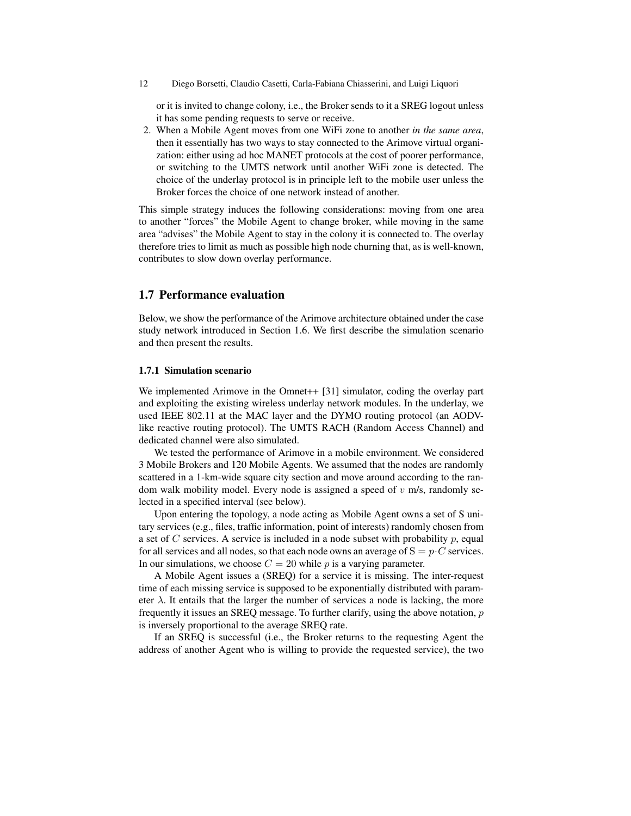or it is invited to change colony, i.e., the Broker sends to it a SREG logout unless it has some pending requests to serve or receive.

2. When a Mobile Agent moves from one WiFi zone to another *in the same area*, then it essentially has two ways to stay connected to the Arimove virtual organization: either using ad hoc MANET protocols at the cost of poorer performance, or switching to the UMTS network until another WiFi zone is detected. The choice of the underlay protocol is in principle left to the mobile user unless the Broker forces the choice of one network instead of another.

This simple strategy induces the following considerations: moving from one area to another "forces" the Mobile Agent to change broker, while moving in the same area "advises" the Mobile Agent to stay in the colony it is connected to. The overlay therefore tries to limit as much as possible high node churning that, as is well-known, contributes to slow down overlay performance.

# 1.7 Performance evaluation

Below, we show the performance of the Arimove architecture obtained under the case study network introduced in Section 1.6. We first describe the simulation scenario and then present the results.

#### 1.7.1 Simulation scenario

We implemented Arimove in the Omnet++ [31] simulator, coding the overlay part and exploiting the existing wireless underlay network modules. In the underlay, we used IEEE 802.11 at the MAC layer and the DYMO routing protocol (an AODVlike reactive routing protocol). The UMTS RACH (Random Access Channel) and dedicated channel were also simulated.

We tested the performance of Arimove in a mobile environment. We considered 3 Mobile Brokers and 120 Mobile Agents. We assumed that the nodes are randomly scattered in a 1-km-wide square city section and move around according to the random walk mobility model. Every node is assigned a speed of  $v$  m/s, randomly selected in a specified interval (see below).

Upon entering the topology, a node acting as Mobile Agent owns a set of S unitary services (e.g., files, traffic information, point of interests) randomly chosen from a set of  $C$  services. A service is included in a node subset with probability  $p$ , equal for all services and all nodes, so that each node owns an average of  $S = p \cdot C$  services. In our simulations, we choose  $C = 20$  while p is a varying parameter.

A Mobile Agent issues a (SREQ) for a service it is missing. The inter-request time of each missing service is supposed to be exponentially distributed with parameter  $\lambda$ . It entails that the larger the number of services a node is lacking, the more frequently it issues an SREQ message. To further clarify, using the above notation, p is inversely proportional to the average SREQ rate.

If an SREQ is successful (i.e., the Broker returns to the requesting Agent the address of another Agent who is willing to provide the requested service), the two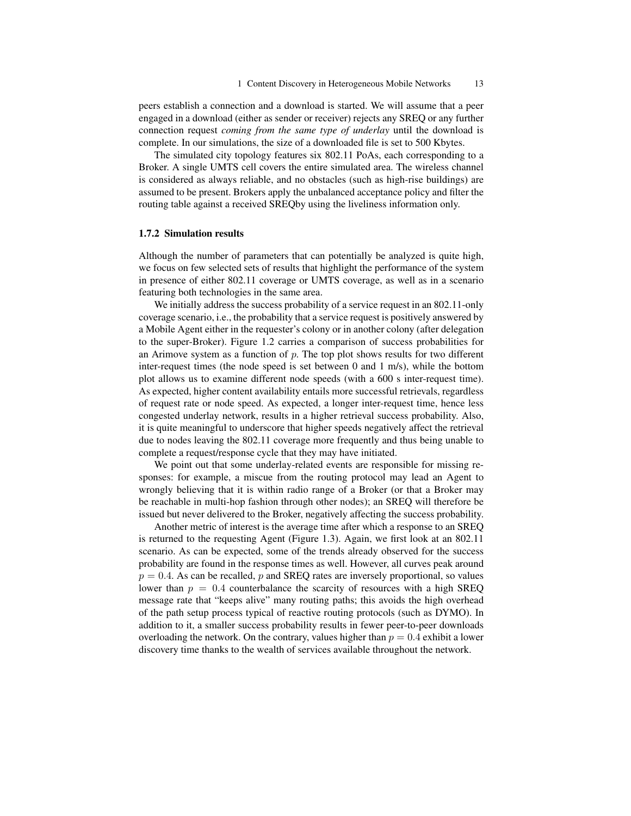peers establish a connection and a download is started. We will assume that a peer engaged in a download (either as sender or receiver) rejects any SREQ or any further connection request *coming from the same type of underlay* until the download is complete. In our simulations, the size of a downloaded file is set to 500 Kbytes.

The simulated city topology features six 802.11 PoAs, each corresponding to a Broker. A single UMTS cell covers the entire simulated area. The wireless channel is considered as always reliable, and no obstacles (such as high-rise buildings) are assumed to be present. Brokers apply the unbalanced acceptance policy and filter the routing table against a received SREQby using the liveliness information only.

#### 1.7.2 Simulation results

Although the number of parameters that can potentially be analyzed is quite high, we focus on few selected sets of results that highlight the performance of the system in presence of either 802.11 coverage or UMTS coverage, as well as in a scenario featuring both technologies in the same area.

We initially address the success probability of a service request in an 802.11-only coverage scenario, i.e., the probability that a service request is positively answered by a Mobile Agent either in the requester's colony or in another colony (after delegation to the super-Broker). Figure 1.2 carries a comparison of success probabilities for an Arimove system as a function of  $p$ . The top plot shows results for two different inter-request times (the node speed is set between 0 and 1 m/s), while the bottom plot allows us to examine different node speeds (with a 600 s inter-request time). As expected, higher content availability entails more successful retrievals, regardless of request rate or node speed. As expected, a longer inter-request time, hence less congested underlay network, results in a higher retrieval success probability. Also, it is quite meaningful to underscore that higher speeds negatively affect the retrieval due to nodes leaving the 802.11 coverage more frequently and thus being unable to complete a request/response cycle that they may have initiated.

We point out that some underlay-related events are responsible for missing responses: for example, a miscue from the routing protocol may lead an Agent to wrongly believing that it is within radio range of a Broker (or that a Broker may be reachable in multi-hop fashion through other nodes); an SREQ will therefore be issued but never delivered to the Broker, negatively affecting the success probability.

Another metric of interest is the average time after which a response to an SREQ is returned to the requesting Agent (Figure 1.3). Again, we first look at an 802.11 scenario. As can be expected, some of the trends already observed for the success probability are found in the response times as well. However, all curves peak around  $p = 0.4$ . As can be recalled, p and SREQ rates are inversely proportional, so values lower than  $p = 0.4$  counterbalance the scarcity of resources with a high SREQ message rate that "keeps alive" many routing paths; this avoids the high overhead of the path setup process typical of reactive routing protocols (such as DYMO). In addition to it, a smaller success probability results in fewer peer-to-peer downloads overloading the network. On the contrary, values higher than  $p = 0.4$  exhibit a lower discovery time thanks to the wealth of services available throughout the network.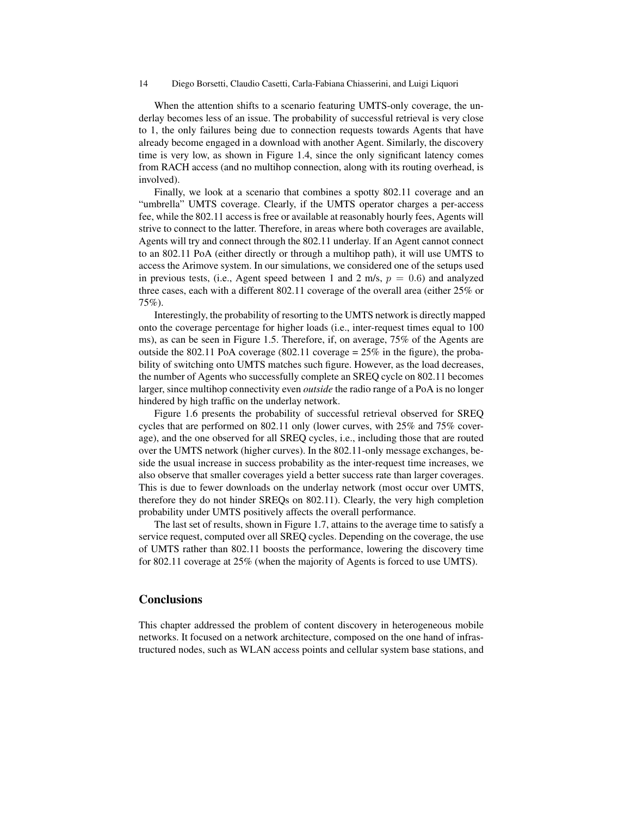When the attention shifts to a scenario featuring UMTS-only coverage, the underlay becomes less of an issue. The probability of successful retrieval is very close to 1, the only failures being due to connection requests towards Agents that have already become engaged in a download with another Agent. Similarly, the discovery time is very low, as shown in Figure 1.4, since the only significant latency comes from RACH access (and no multihop connection, along with its routing overhead, is involved).

Finally, we look at a scenario that combines a spotty 802.11 coverage and an "umbrella" UMTS coverage. Clearly, if the UMTS operator charges a per-access fee, while the 802.11 access is free or available at reasonably hourly fees, Agents will strive to connect to the latter. Therefore, in areas where both coverages are available, Agents will try and connect through the 802.11 underlay. If an Agent cannot connect to an 802.11 PoA (either directly or through a multihop path), it will use UMTS to access the Arimove system. In our simulations, we considered one of the setups used in previous tests, (i.e., Agent speed between 1 and 2 m/s,  $p = 0.6$ ) and analyzed three cases, each with a different 802.11 coverage of the overall area (either 25% or 75%).

Interestingly, the probability of resorting to the UMTS network is directly mapped onto the coverage percentage for higher loads (i.e., inter-request times equal to 100 ms), as can be seen in Figure 1.5. Therefore, if, on average, 75% of the Agents are outside the 802.11 PoA coverage (802.11 coverage  $= 25\%$  in the figure), the probability of switching onto UMTS matches such figure. However, as the load decreases, the number of Agents who successfully complete an SREQ cycle on 802.11 becomes larger, since multihop connectivity even *outside* the radio range of a PoA is no longer hindered by high traffic on the underlay network.

Figure 1.6 presents the probability of successful retrieval observed for SREQ cycles that are performed on 802.11 only (lower curves, with 25% and 75% coverage), and the one observed for all SREQ cycles, i.e., including those that are routed over the UMTS network (higher curves). In the 802.11-only message exchanges, beside the usual increase in success probability as the inter-request time increases, we also observe that smaller coverages yield a better success rate than larger coverages. This is due to fewer downloads on the underlay network (most occur over UMTS, therefore they do not hinder SREQs on 802.11). Clearly, the very high completion probability under UMTS positively affects the overall performance.

The last set of results, shown in Figure 1.7, attains to the average time to satisfy a service request, computed over all SREQ cycles. Depending on the coverage, the use of UMTS rather than 802.11 boosts the performance, lowering the discovery time for 802.11 coverage at 25% (when the majority of Agents is forced to use UMTS).

#### **Conclusions**

This chapter addressed the problem of content discovery in heterogeneous mobile networks. It focused on a network architecture, composed on the one hand of infrastructured nodes, such as WLAN access points and cellular system base stations, and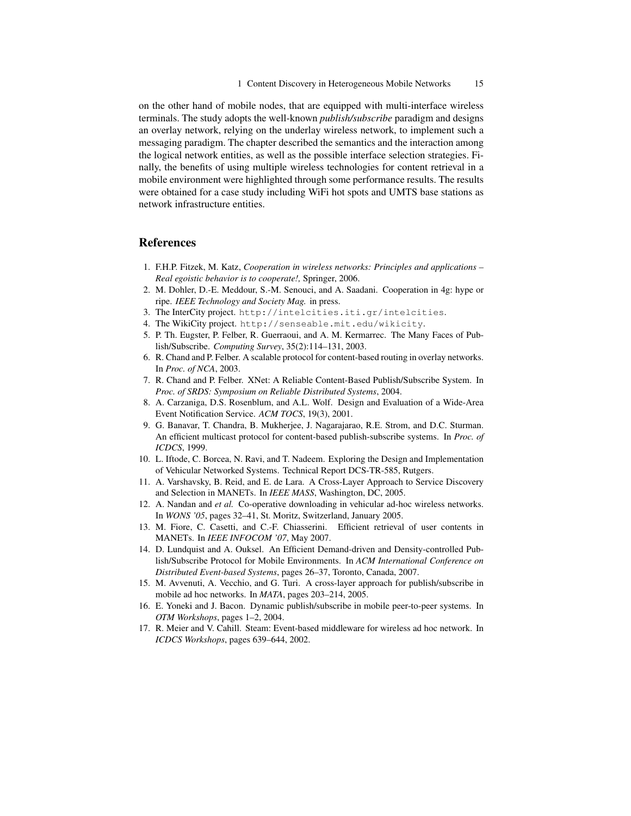on the other hand of mobile nodes, that are equipped with multi-interface wireless terminals. The study adopts the well-known *publish/subscribe* paradigm and designs an overlay network, relying on the underlay wireless network, to implement such a messaging paradigm. The chapter described the semantics and the interaction among the logical network entities, as well as the possible interface selection strategies. Finally, the benefits of using multiple wireless technologies for content retrieval in a mobile environment were highlighted through some performance results. The results were obtained for a case study including WiFi hot spots and UMTS base stations as network infrastructure entities.

# References

- 1. F.H.P. Fitzek, M. Katz, *Cooperation in wireless networks: Principles and applications – Real egoistic behavior is to cooperate!,* Springer, 2006.
- 2. M. Dohler, D.-E. Meddour, S.-M. Senouci, and A. Saadani. Cooperation in 4g: hype or ripe. *IEEE Technology and Society Mag.* in press.
- 3. The InterCity project. http://intelcities.iti.gr/intelcities.
- 4. The WikiCity project. http://senseable.mit.edu/wikicity.
- 5. P. Th. Eugster, P. Felber, R. Guerraoui, and A. M. Kermarrec. The Many Faces of Publish/Subscribe. *Computing Survey*, 35(2):114–131, 2003.
- 6. R. Chand and P. Felber. A scalable protocol for content-based routing in overlay networks. In *Proc. of NCA*, 2003.
- 7. R. Chand and P. Felber. XNet: A Reliable Content-Based Publish/Subscribe System. In *Proc. of SRDS: Symposium on Reliable Distributed Systems*, 2004.
- 8. A. Carzaniga, D.S. Rosenblum, and A.L. Wolf. Design and Evaluation of a Wide-Area Event Notification Service. *ACM TOCS*, 19(3), 2001.
- 9. G. Banavar, T. Chandra, B. Mukherjee, J. Nagarajarao, R.E. Strom, and D.C. Sturman. An efficient multicast protocol for content-based publish-subscribe systems. In *Proc. of ICDCS*, 1999.
- 10. L. Iftode, C. Borcea, N. Ravi, and T. Nadeem. Exploring the Design and Implementation of Vehicular Networked Systems. Technical Report DCS-TR-585, Rutgers.
- 11. A. Varshavsky, B. Reid, and E. de Lara. A Cross-Layer Approach to Service Discovery and Selection in MANETs. In *IEEE MASS*, Washington, DC, 2005.
- 12. A. Nandan and *et al.* Co-operative downloading in vehicular ad-hoc wireless networks. In *WONS '05*, pages 32–41, St. Moritz, Switzerland, January 2005.
- 13. M. Fiore, C. Casetti, and C.-F. Chiasserini. Efficient retrieval of user contents in MANETs. In *IEEE INFOCOM '07*, May 2007.
- 14. D. Lundquist and A. Ouksel. An Efficient Demand-driven and Density-controlled Publish/Subscribe Protocol for Mobile Environments. In *ACM International Conference on Distributed Event-based Systems*, pages 26–37, Toronto, Canada, 2007.
- 15. M. Avvenuti, A. Vecchio, and G. Turi. A cross-layer approach for publish/subscribe in mobile ad hoc networks. In *MATA*, pages 203–214, 2005.
- 16. E. Yoneki and J. Bacon. Dynamic publish/subscribe in mobile peer-to-peer systems. In *OTM Workshops*, pages 1–2, 2004.
- 17. R. Meier and V. Cahill. Steam: Event-based middleware for wireless ad hoc network. In *ICDCS Workshops*, pages 639–644, 2002.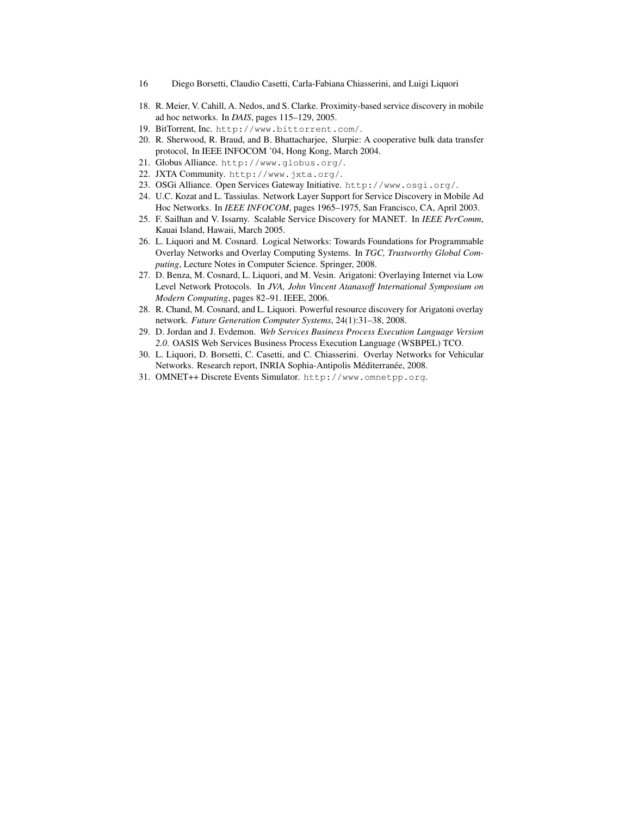- 16 Diego Borsetti, Claudio Casetti, Carla-Fabiana Chiasserini, and Luigi Liquori
- 18. R. Meier, V. Cahill, A. Nedos, and S. Clarke. Proximity-based service discovery in mobile ad hoc networks. In *DAIS*, pages 115–129, 2005.
- 19. BitTorrent, Inc. http://www.bittorrent.com/.
- 20. R. Sherwood, R. Braud, and B. Bhattacharjee, Slurpie: A cooperative bulk data transfer protocol, In IEEE INFOCOM '04, Hong Kong, March 2004.
- 21. Globus Alliance. http://www.globus.org/.
- 22. JXTA Community. http://www.jxta.org/.
- 23. OSGi Alliance. Open Services Gateway Initiative. http://www.osgi.org/.
- 24. U.C. Kozat and L. Tassiulas. Network Layer Support for Service Discovery in Mobile Ad Hoc Networks. In *IEEE INFOCOM*, pages 1965–1975, San Francisco, CA, April 2003.
- 25. F. Sailhan and V. Issarny. Scalable Service Discovery for MANET. In *IEEE PerComm*, Kauai Island, Hawaii, March 2005.
- 26. L. Liquori and M. Cosnard. Logical Networks: Towards Foundations for Programmable Overlay Networks and Overlay Computing Systems. In *TGC, Trustworthy Global Computing*, Lecture Notes in Computer Science. Springer, 2008.
- 27. D. Benza, M. Cosnard, L. Liquori, and M. Vesin. Arigatoni: Overlaying Internet via Low Level Network Protocols. In *JVA, John Vincent Atanasoff International Symposium on Modern Computing*, pages 82–91. IEEE, 2006.
- 28. R. Chand, M. Cosnard, and L. Liquori. Powerful resource discovery for Arigatoni overlay network. *Future Generation Computer Systems*, 24(1):31–38, 2008.
- 29. D. Jordan and J. Evdemon. *Web Services Business Process Execution Language Version 2.0*. OASIS Web Services Business Process Execution Language (WSBPEL) TCO.
- 30. L. Liquori, D. Borsetti, C. Casetti, and C. Chiasserini. Overlay Networks for Vehicular Networks. Research report, INRIA Sophia-Antipolis Méditerranée, 2008.
- 31. OMNET++ Discrete Events Simulator. http://www.omnetpp.org.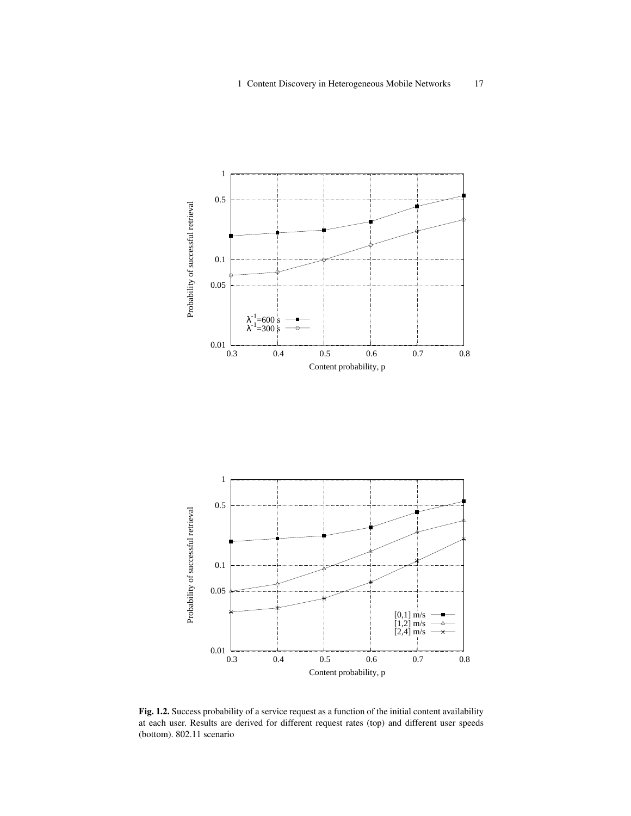

Fig. 1.2. Success probability of a service request as a function of the initial content availability at each user. Results are derived for different request rates (top) and different user speeds (bottom). 802.11 scenario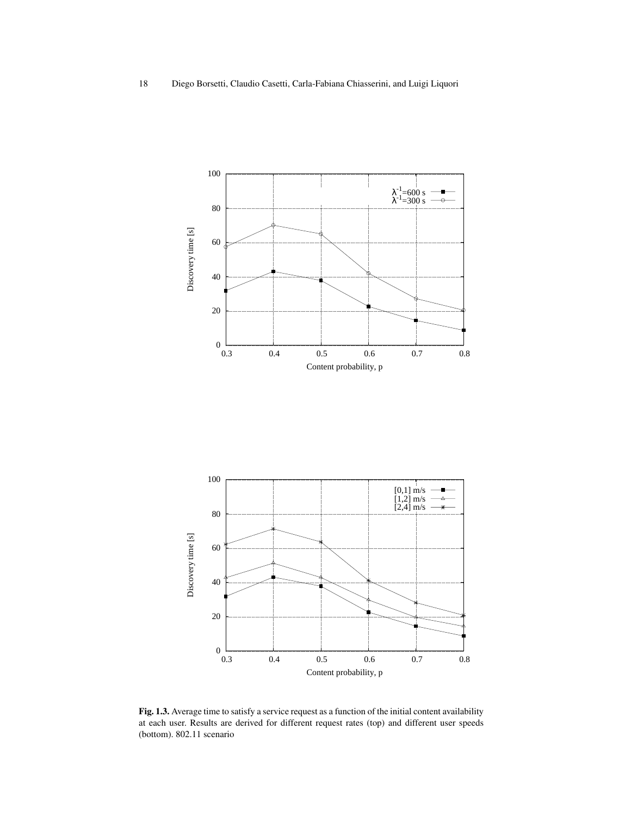



Fig. 1.3. Average time to satisfy a service request as a function of the initial content availability at each user. Results are derived for different request rates (top) and different user speeds (bottom). 802.11 scenario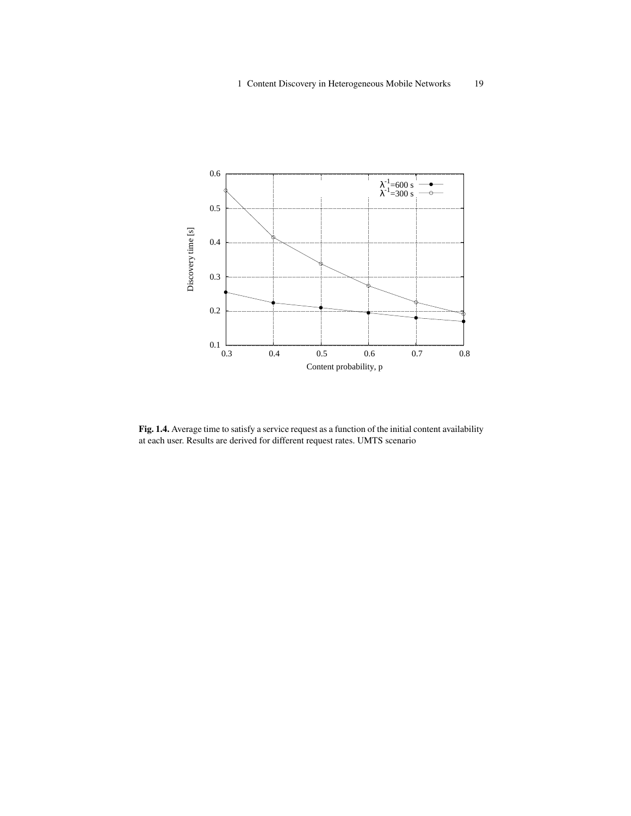

Fig. 1.4. Average time to satisfy a service request as a function of the initial content availability at each user. Results are derived for different request rates. UMTS scenario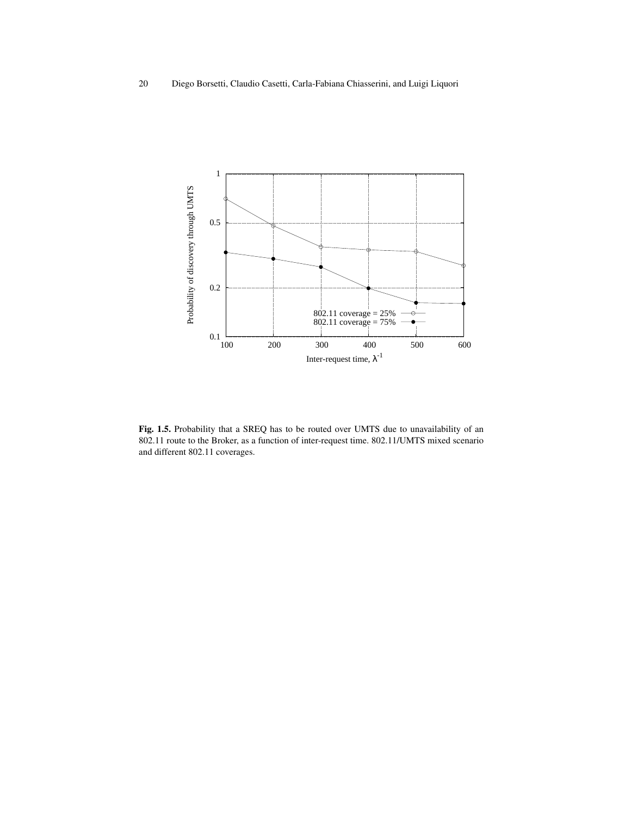

Fig. 1.5. Probability that a SREQ has to be routed over UMTS due to unavailability of an 802.11 route to the Broker, as a function of inter-request time. 802.11/UMTS mixed scenario and different 802.11 coverages.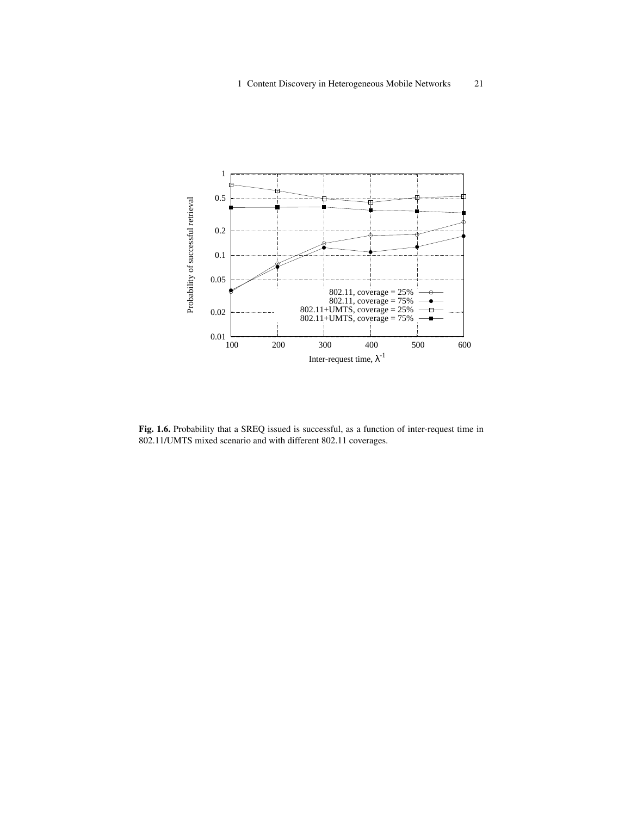

Fig. 1.6. Probability that a SREQ issued is successful, as a function of inter-request time in 802.11/UMTS mixed scenario and with different 802.11 coverages.